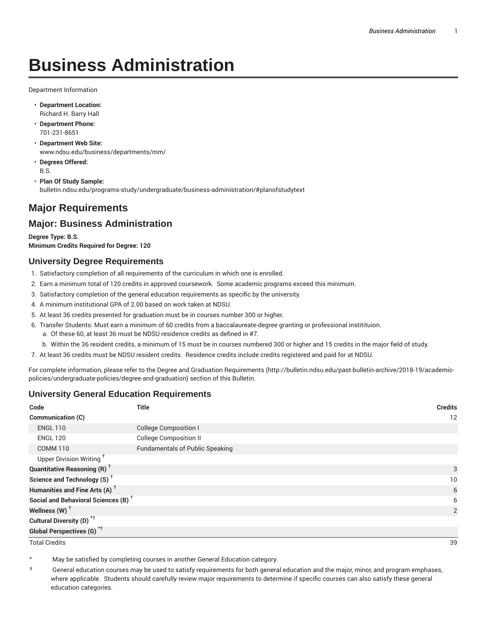# **Business Administration**

Department Information

- **Department Location:** Richard H. Barry Hall
- **Department Phone:** 701-231-8651
- **Department Web Site:** www.ndsu.edu/business/departments/mm/
- **Degrees Offered:** B.S.
- **Plan Of Study Sample:** bulletin.ndsu.edu/programs-study/undergraduate/business-administration/#planofstudytext

# **Major Requirements**

# **Major: Business Administration**

**Degree Type: B.S. Minimum Credits Required for Degree: 120**

## **University Degree Requirements**

- 1. Satisfactory completion of all requirements of the curriculum in which one is enrolled.
- 2. Earn a minimum total of 120 credits in approved coursework. Some academic programs exceed this minimum.
- 3. Satisfactory completion of the general education requirements as specific by the university.
- 4. A minimum institutional GPA of 2.00 based on work taken at NDSU.
- 5. At least 36 credits presented for graduation must be in courses number 300 or higher.
- 6. Transfer Students: Must earn a minimum of 60 credits from a baccalaureate-degree granting or professional institituion.
	- a. Of these 60, at least 36 must be NDSU residence credits as defined in #7.
	- b. Within the 36 resident credits, a minimum of 15 must be in courses numbered 300 or higher and 15 credits in the major field of study.
- 7. At least 36 credits must be NDSU resident credits. Residence credits include credits registered and paid for at NDSU.

For complete information, please refer to the Degree and Graduation Requirements (http://bulletin.ndsu.edu/past-bulletin-archive/2018-19/academicpolicies/undergraduate-policies/degree-and-graduation) section of this Bulletin.

# **University General Education Requirements**

| Code                                            | <b>Title</b>                           | <b>Credits</b> |
|-------------------------------------------------|----------------------------------------|----------------|
| <b>Communication (C)</b>                        |                                        | 12             |
| <b>ENGL 110</b>                                 | <b>College Composition I</b>           |                |
| <b>ENGL 120</b>                                 | <b>College Composition II</b>          |                |
| <b>COMM 110</b>                                 | <b>Fundamentals of Public Speaking</b> |                |
| Upper Division Writing <sup>+</sup>             |                                        |                |
| <b>Quantitative Reasoning (R)</b> <sup>†</sup>  |                                        | 3              |
| Science and Technology (S) <sup>+</sup>         |                                        | 10             |
| Humanities and Fine Arts (A) <sup>+</sup>       |                                        | 6              |
| Social and Behavioral Sciences (B) <sup>+</sup> |                                        | 6              |
| Wellness $(W)$ <sup>+</sup>                     |                                        | 2              |
| Cultural Diversity (D) <sup>*†</sup>            |                                        |                |
| <b>Global Perspectives (G)<sup>*†</sup></b>     |                                        |                |

Total Credits 39

May be satisfied by completing courses in another General Education category.

† General education courses may be used to satisfy requirements for both general education and the major, minor, and program emphases, where applicable. Students should carefully review major requirements to determine if specific courses can also satisfy these general education categories.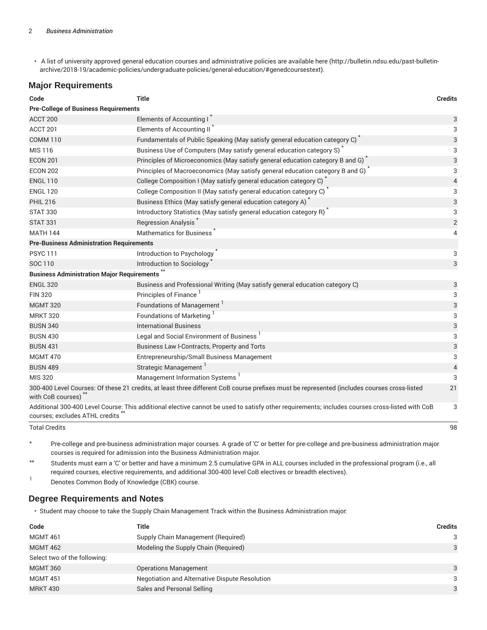• A list of university approved general education courses and administrative policies are available here (http://bulletin.ndsu.edu/past-bulletinarchive/2018-19/academic-policies/undergraduate-policies/general-education/#genedcoursestext).

## **Major Requirements**

| Code                                                                                                                                                                                    | <b>Title</b>                                                                  | <b>Credits</b> |  |  |  |
|-----------------------------------------------------------------------------------------------------------------------------------------------------------------------------------------|-------------------------------------------------------------------------------|----------------|--|--|--|
| <b>Pre-College of Business Requirements</b>                                                                                                                                             |                                                                               |                |  |  |  |
| ACCT 200                                                                                                                                                                                | Elements of Accounting I                                                      | 3              |  |  |  |
| ACCT 201                                                                                                                                                                                | Elements of Accounting II <sup>*</sup>                                        | 3              |  |  |  |
| <b>COMM 110</b>                                                                                                                                                                         | Fundamentals of Public Speaking (May satisfy general education category C)    | 3              |  |  |  |
| MIS 116                                                                                                                                                                                 | Business Use of Computers (May satisfy general education category S)          | 3              |  |  |  |
| <b>ECON 201</b>                                                                                                                                                                         | Principles of Microeconomics (May satisfy general education category B and G) | 3              |  |  |  |
| <b>ECON 202</b>                                                                                                                                                                         | Principles of Macroeconomics (May satisfy general education category B and G) | 3              |  |  |  |
| <b>ENGL 110</b>                                                                                                                                                                         | College Composition I (May satisfy general education category C)              | $\overline{4}$ |  |  |  |
| <b>ENGL 120</b>                                                                                                                                                                         | College Composition II (May satisfy general education category C)             | 3              |  |  |  |
| <b>PHIL 216</b>                                                                                                                                                                         | Business Ethics (May satisfy general education category A)                    | 3              |  |  |  |
| <b>STAT 330</b>                                                                                                                                                                         | Introductory Statistics (May satisfy general education category R)            | 3              |  |  |  |
| <b>STAT 331</b>                                                                                                                                                                         | Regression Analysis                                                           | $\overline{2}$ |  |  |  |
| <b>MATH 144</b>                                                                                                                                                                         | Mathematics for Business                                                      | 4              |  |  |  |
| <b>Pre-Business Administration Requirements</b>                                                                                                                                         |                                                                               |                |  |  |  |
| <b>PSYC 111</b>                                                                                                                                                                         | Introduction to Psychology                                                    | 3              |  |  |  |
| SOC 110                                                                                                                                                                                 | Introduction to Sociology                                                     | 3              |  |  |  |
| <b>Business Administration Major Requirements</b>                                                                                                                                       |                                                                               |                |  |  |  |
| <b>ENGL 320</b>                                                                                                                                                                         | Business and Professional Writing (May satisfy general education category C)  | 3              |  |  |  |
| <b>FIN 320</b>                                                                                                                                                                          | Principles of Finance                                                         | 3              |  |  |  |
| <b>MGMT 320</b>                                                                                                                                                                         | Foundations of Management <sup>1</sup>                                        | 3              |  |  |  |
| <b>MRKT 320</b>                                                                                                                                                                         | Foundations of Marketing <sup>1</sup>                                         | 3              |  |  |  |
| <b>BUSN 340</b>                                                                                                                                                                         | <b>International Business</b>                                                 | 3              |  |  |  |
| <b>BUSN 430</b>                                                                                                                                                                         | Legal and Social Environment of Business <sup>1</sup>                         | 3              |  |  |  |
| <b>BUSN 431</b>                                                                                                                                                                         | Business Law I-Contracts, Property and Torts                                  | 3              |  |  |  |
| <b>MGMT 470</b>                                                                                                                                                                         | Entrepreneurship/Small Business Management                                    | 3              |  |  |  |
| <b>BUSN 489</b>                                                                                                                                                                         | Strategic Management <sup>1</sup>                                             | 4              |  |  |  |
| MIS 320                                                                                                                                                                                 | Management Information Systems <sup>1</sup>                                   | 3              |  |  |  |
| 300-400 Level Courses: Of these 21 credits, at least three different CoB course prefixes must be represented (includes courses cross-listed<br>21<br>with CoB courses) **               |                                                                               |                |  |  |  |
| Additional 300-400 Level Course: This additional elective cannot be used to satisfy other requirements; includes courses cross-listed with CoB<br>3<br>courses; excludes ATHL credits * |                                                                               |                |  |  |  |

Total Credits 98

\* Pre-college and pre-business administration major courses. A grade of 'C' or better for pre-college and pre-business administration major courses is required for admission into the Business Administration major.

\*\* Students must earn a 'C' or better and have a minimum 2.5 cumulative GPA in ALL courses included in the professional program (i.e., all required courses, elective requirements, and additional 300-400 level CoB electives or breadth electives).

1 Denotes Common Body of Knowledge (CBK) course.

# **Degree Requirements and Notes**

• Student may choose to take the Supply Chain Management Track within the Business Administration major:

| Code                         | Title                                          | <b>Credits</b> |
|------------------------------|------------------------------------------------|----------------|
| <b>MGMT 461</b>              | Supply Chain Management (Required)             | 3              |
| <b>MGMT 462</b>              | Modeling the Supply Chain (Required)           | 3              |
| Select two of the following: |                                                |                |
| <b>MGMT 360</b>              | <b>Operations Management</b>                   | 3              |
| <b>MGMT 451</b>              | Negotiation and Alternative Dispute Resolution | 3              |
| <b>MRKT 430</b>              | Sales and Personal Selling                     | 3              |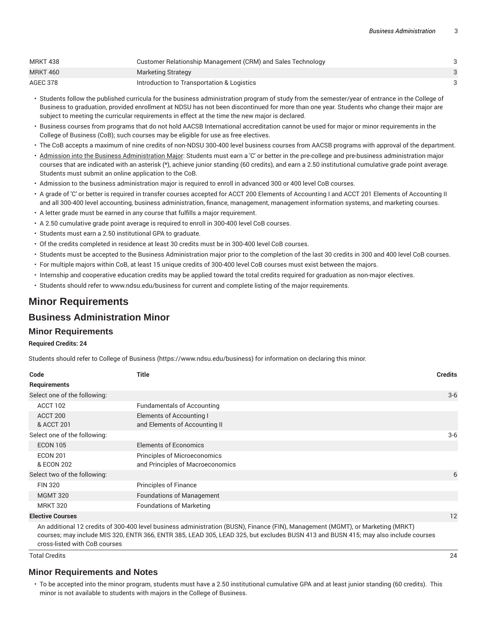| <b>MRKT 438</b> | Customer Relationship Management (CRM) and Sales Technology |  |
|-----------------|-------------------------------------------------------------|--|
| <b>MRKT 460</b> | Marketing Strategy                                          |  |
| AGEC 378        | Introduction to Transportation & Logistics                  |  |

- Students follow the published curricula for the business administration program of study from the semester/year of entrance in the College of Business to graduation, provided enrollment at NDSU has not been discontinued for more than one year. Students who change their major are subject to meeting the curricular requirements in effect at the time the new major is declared.
- Business courses from programs that do not hold AACSB International accreditation cannot be used for major or minor requirements in the College of Business (CoB); such courses may be eligible for use as free electives.
- The CoB accepts a maximum of nine credits of non-NDSU 300-400 level business courses from AACSB programs with approval of the department.
- Admission into the Business Administration Major: Students must earn a 'C' or better in the pre-college and pre-business administration major courses that are indicated with an asterisk (\*), achieve junior standing (60 credits), and earn a 2.50 institutional cumulative grade point average. Students must submit an online application to the CoB.
- Admission to the business administration major is required to enroll in advanced 300 or 400 level CoB courses.
- A grade of 'C' or better is required in transfer courses accepted for ACCT 200 Elements of Accounting I and ACCT 201 Elements of Accounting II and all 300-400 level accounting, business administration, finance, management, management information systems, and marketing courses.
- A letter grade must be earned in any course that fulfills a major requirement.
- A 2.50 cumulative grade point average is required to enroll in 300-400 level CoB courses.
- Students must earn a 2.50 institutional GPA to graduate.
- Of the credits completed in residence at least 30 credits must be in 300-400 level CoB courses.
- Students must be accepted to the Business Administration major prior to the completion of the last 30 credits in 300 and 400 level CoB courses.
- For multiple majors within CoB, at least 15 unique credits of 300-400 level CoB courses must exist between the majors.
- Internship and cooperative education credits may be applied toward the total credits required for graduation as non-major electives.
- Students should refer to www.ndsu.edu/business for current and complete listing of the major requirements.

# **Minor Requirements**

# **Business Administration Minor**

### **Minor Requirements**

#### **Required Credits: 24**

Students should refer to College of Business (https://www.ndsu.edu/business) for information on declaring this minor.

| Code                          | <b>Title</b>                                                            | <b>Credits</b> |
|-------------------------------|-------------------------------------------------------------------------|----------------|
| <b>Requirements</b>           |                                                                         |                |
| Select one of the following:  |                                                                         | $3-6$          |
| ACCT 102                      | <b>Fundamentals of Accounting</b>                                       |                |
| ACCT 200<br>& ACCT 201        | Elements of Accounting I<br>and Elements of Accounting II               |                |
| Select one of the following:  |                                                                         | $3-6$          |
| <b>ECON 105</b>               | <b>Elements of Economics</b>                                            |                |
| <b>ECON 201</b><br>& ECON 202 | <b>Principles of Microeconomics</b><br>and Principles of Macroeconomics |                |
| Select two of the following:  |                                                                         | 6              |
| <b>FIN 320</b>                | <b>Principles of Finance</b>                                            |                |
| <b>MGMT 320</b>               | <b>Foundations of Management</b>                                        |                |
| <b>MRKT 320</b>               | <b>Foundations of Marketing</b>                                         |                |
| <b>Elective Courses</b>       |                                                                         | 12             |

An additional 12 credits of 300-400 level business administration (BUSN), Finance (FIN), Management (MGMT), or Marketing (MRKT) courses; may include MIS 320, ENTR 366, ENTR 385, LEAD 305, LEAD 325, but excludes BUSN 413 and BUSN 415; may also include courses cross-listed with CoB courses

Total Credits 24

# **Minor Requirements and Notes**

• To be accepted into the minor program, students must have a 2.50 institutional cumulative GPA and at least junior standing (60 credits). This minor is not available to students with majors in the College of Business.